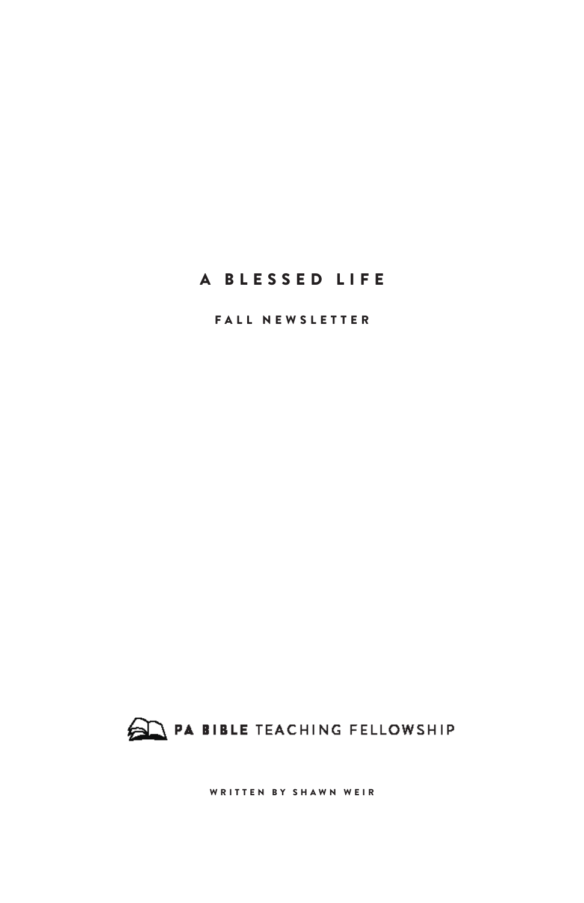FALL NEWSLETTER



WRITTEN BY SHAWN WEIR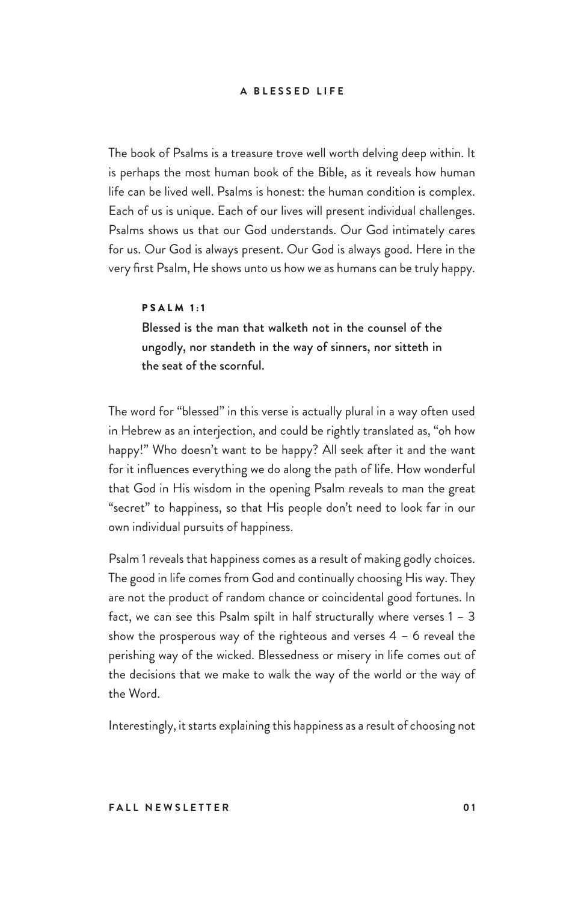The book of Psalms is a treasure trove well worth delving deep within. It is perhaps the most human book of the Bible, as it reveals how human life can be lived well. Psalms is honest: the human condition is complex. Each of us is unique. Each of our lives will present individual challenges. Psalms shows us that our God understands. Our God intimately cares for us. Our God is always present. Our God is always good. Here in the very first Psalm, He shows unto us how we as humans can be truly happy.

#### PSALM 1:1

Blessed is the man that walketh not in the counsel of the ungodly, nor standeth in the way of sinners, nor sitteth in the seat of the scornful.

The word for "blessed" in this verse is actually plural in a way often used in Hebrew as an interjection, and could be rightly translated as, "oh how happy!" Who doesn't want to be happy? All seek after it and the want for it influences everything we do along the path of life. How wonderful that God in His wisdom in the opening Psalm reveals to man the great "secret" to happiness, so that His people don't need to look far in our own individual pursuits of happiness.

Psalm 1 reveals that happiness comes as a result of making godly choices. The good in life comes from God and continually choosing His way. They are not the product of random chance or coincidental good fortunes. In fact, we can see this Psalm spilt in half structurally where verses  $1 - 3$ show the prosperous way of the righteous and verses  $4 - 6$  reveal the perishing way of the wicked. Blessedness or misery in life comes out of the decisions that we make to walk the way of the world or the way of the Word.

Interestingly, it starts explaining this happiness as a result of choosing not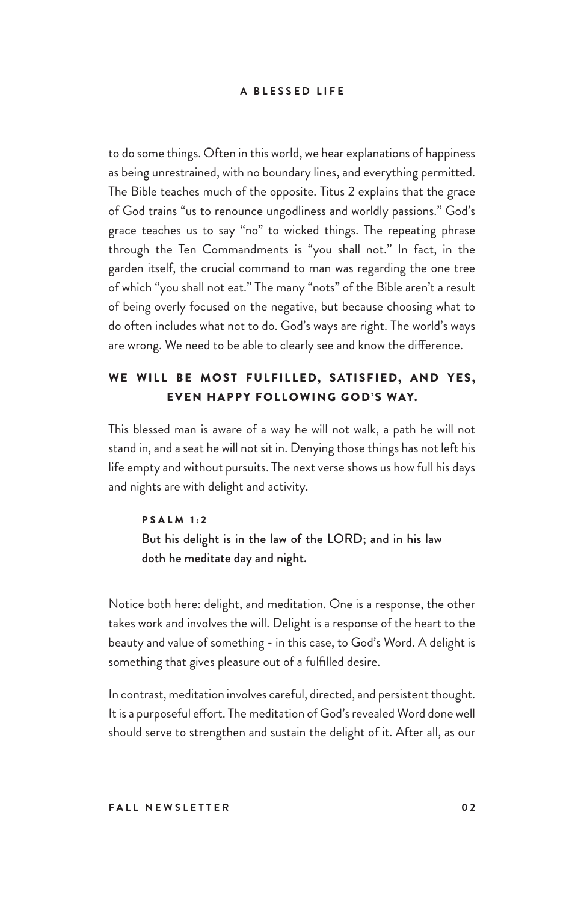to do some things. Often in this world, we hear explanations of happiness as being unrestrained, with no boundary lines, and everything permitted. The Bible teaches much of the opposite. Titus 2 explains that the grace of God trains "us to renounce ungodliness and worldly passions." God's grace teaches us to say "no" to wicked things. The repeating phrase through the Ten Commandments is "you shall not." In fact, in the garden itself, the crucial command to man was regarding the one tree of which "you shall not eat." The many "nots" of the Bible aren't a result of being overly focused on the negative, but because choosing what to do often includes what not to do. God's ways are right. The world's ways are wrong. We need to be able to clearly see and know the difference.

## WE WILL BE MOST FULFILLED, SATISFIED, AND YES, EVEN HAPPY FOLLOWING GOD'S WAY.

This blessed man is aware of a way he will not walk, a path he will not stand in, and a seat he will not sit in. Denying those things has not left his life empty and without pursuits. The next verse shows us how full his days and nights are with delight and activity.

## PSALM 1:2

But his delight is in the law of the LORD; and in his law doth he meditate day and night.

Notice both here: delight, and meditation. One is a response, the other takes work and involves the will. Delight is a response of the heart to the beauty and value of something - in this case, to God's Word. A delight is something that gives pleasure out of a fulfilled desire.

In contrast, meditation involves careful, directed, and persistent thought. It is a purposeful effort. The meditation of God's revealed Word done well should serve to strengthen and sustain the delight of it. After all, as our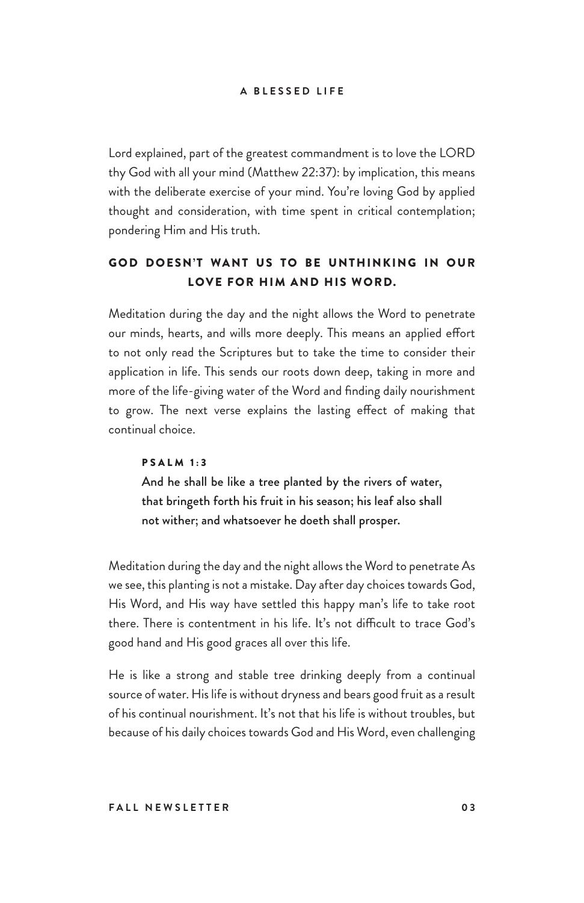Lord explained, part of the greatest commandment is to love the LORD thy God with all your mind (Matthew 22:37): by implication, this means with the deliberate exercise of your mind. You're loving God by applied thought and consideration, with time spent in critical contemplation; pondering Him and His truth.

## GOD DOESN'T WANT US TO BE UNTHINKING IN OUR LOVE FOR HIM AND HIS WORD.

Meditation during the day and the night allows the Word to penetrate our minds, hearts, and wills more deeply. This means an applied effort to not only read the Scriptures but to take the time to consider their application in life. This sends our roots down deep, taking in more and more of the life-giving water of the Word and finding daily nourishment to grow. The next verse explains the lasting effect of making that continual choice.

## PSALM 1:3

And he shall be like a tree planted by the rivers of water, that bringeth forth his fruit in his season; his leaf also shall not wither; and whatsoever he doeth shall prosper.

Meditation during the day and the night allows the Word to penetrate As we see, this planting is not a mistake. Day after day choices towards God, His Word, and His way have settled this happy man's life to take root there. There is contentment in his life. It's not difficult to trace God's good hand and His good graces all over this life.

He is like a strong and stable tree drinking deeply from a continual source of water. His life is without dryness and bears good fruit as a result of his continual nourishment. It's not that his life is without troubles, but because of his daily choices towards God and His Word, even challenging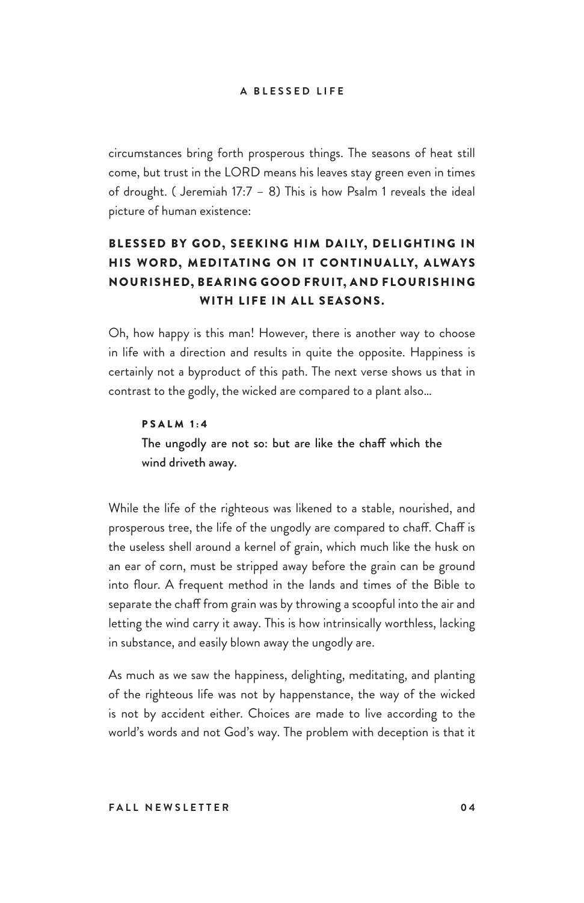circumstances bring forth prosperous things. The seasons of heat still come, but trust in the LORD means his leaves stay green even in times of drought. ( Jeremiah 17:7 – 8) This is how Psalm 1 reveals the ideal picture of human existence:

## BLESSED BY GOD, SEEKING HIM DAILY, DELIGHTING IN HIS WORD, MEDITATING ON IT CONTINUALLY, ALWAYS NOURISHED, BEARING GOOD FRUIT, AND FLOURISHING WITH LIFE IN ALL SEASONS.

Oh, how happy is this man! However, there is another way to choose in life with a direction and results in quite the opposite. Happiness is certainly not a byproduct of this path. The next verse shows us that in contrast to the godly, the wicked are compared to a plant also…

#### PSALM 1:4

The ungodly are not so: but are like the chaff which the wind driveth away.

While the life of the righteous was likened to a stable, nourished, and prosperous tree, the life of the ungodly are compared to chaff. Chaff is the useless shell around a kernel of grain, which much like the husk on an ear of corn, must be stripped away before the grain can be ground into flour. A frequent method in the lands and times of the Bible to separate the chaff from grain was by throwing a scoopful into the air and letting the wind carry it away. This is how intrinsically worthless, lacking in substance, and easily blown away the ungodly are.

As much as we saw the happiness, delighting, meditating, and planting of the righteous life was not by happenstance, the way of the wicked is not by accident either. Choices are made to live according to the world's words and not God's way. The problem with deception is that it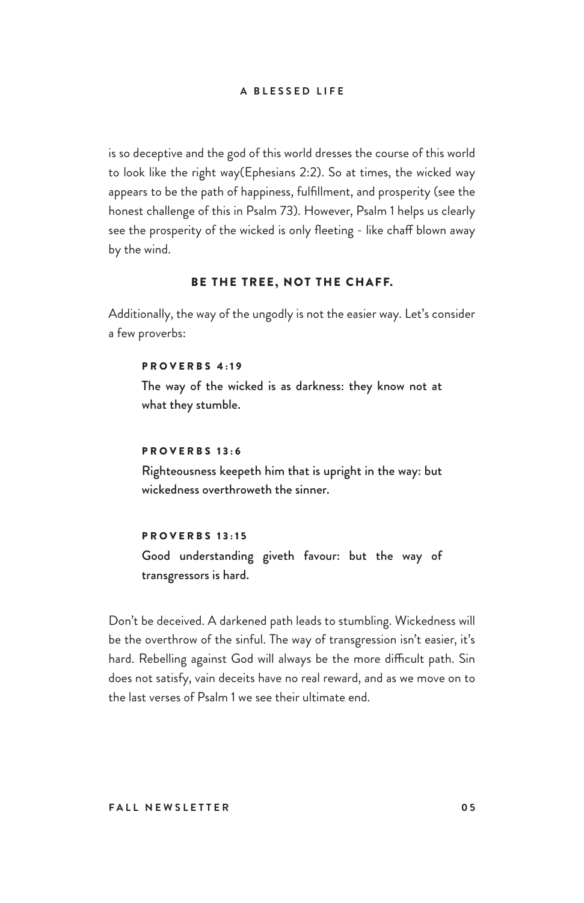is so deceptive and the god of this world dresses the course of this world to look like the right way(Ephesians 2:2). So at times, the wicked way appears to be the path of happiness, fulfillment, and prosperity (see the honest challenge of this in Psalm 73). However, Psalm 1 helps us clearly see the prosperity of the wicked is only fleeting - like chaff blown away by the wind.

## BE THE TREE, NOT THE CHAFF.

Additionally, the way of the ungodly is not the easier way. Let's consider a few proverbs:

#### PROVERBS 4:19

The way of the wicked is as darkness: they know not at what they stumble.

## **PROVERBS 13:6**

Righteousness keepeth him that is upright in the way: but wickedness overthroweth the sinner.

#### PROVERBS 13:15

Good understanding giveth favour: but the way of transgressors is hard.

Don't be deceived. A darkened path leads to stumbling. Wickedness will be the overthrow of the sinful. The way of transgression isn't easier, it's hard. Rebelling against God will always be the more difficult path. Sin does not satisfy, vain deceits have no real reward, and as we move on to the last verses of Psalm 1 we see their ultimate end.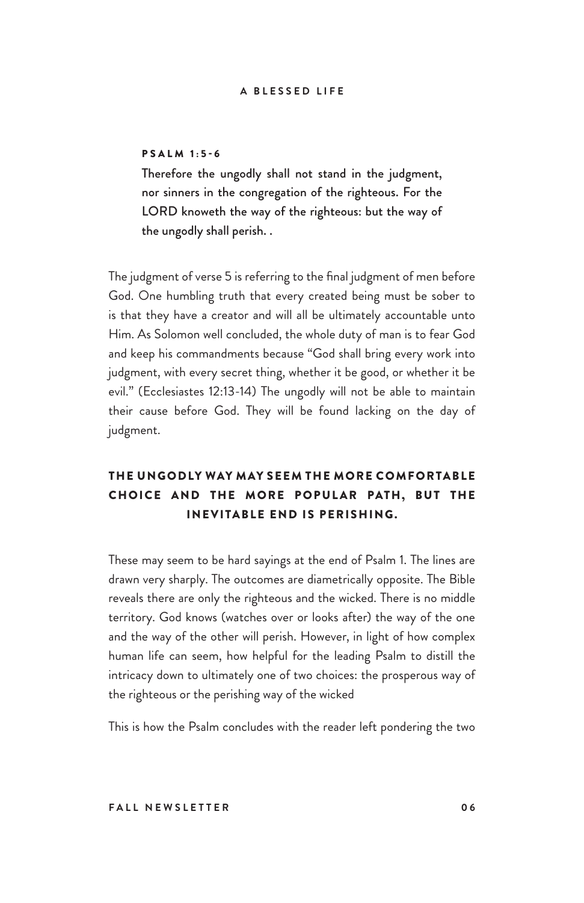## PSALM 1:5-6

Therefore the ungodly shall not stand in the judgment, nor sinners in the congregation of the righteous. For the LORD knoweth the way of the righteous: but the way of the ungodly shall perish. .

The judgment of verse 5 is referring to the final judgment of men before God. One humbling truth that every created being must be sober to is that they have a creator and will all be ultimately accountable unto Him. As Solomon well concluded, the whole duty of man is to fear God and keep his commandments because "God shall bring every work into judgment, with every secret thing, whether it be good, or whether it be evil." (Ecclesiastes 12:13-14) The ungodly will not be able to maintain their cause before God. They will be found lacking on the day of judgment.

## THE UNGODLY WAY MAY SEEM THE MORE COMFORTABLE CHOICE AND THE MORE POPULAR PATH, BUT THE INEVITABLE END IS PERISHING.

These may seem to be hard sayings at the end of Psalm 1. The lines are drawn very sharply. The outcomes are diametrically opposite. The Bible reveals there are only the righteous and the wicked. There is no middle territory. God knows (watches over or looks after) the way of the one and the way of the other will perish. However, in light of how complex human life can seem, how helpful for the leading Psalm to distill the intricacy down to ultimately one of two choices: the prosperous way of the righteous or the perishing way of the wicked

This is how the Psalm concludes with the reader left pondering the two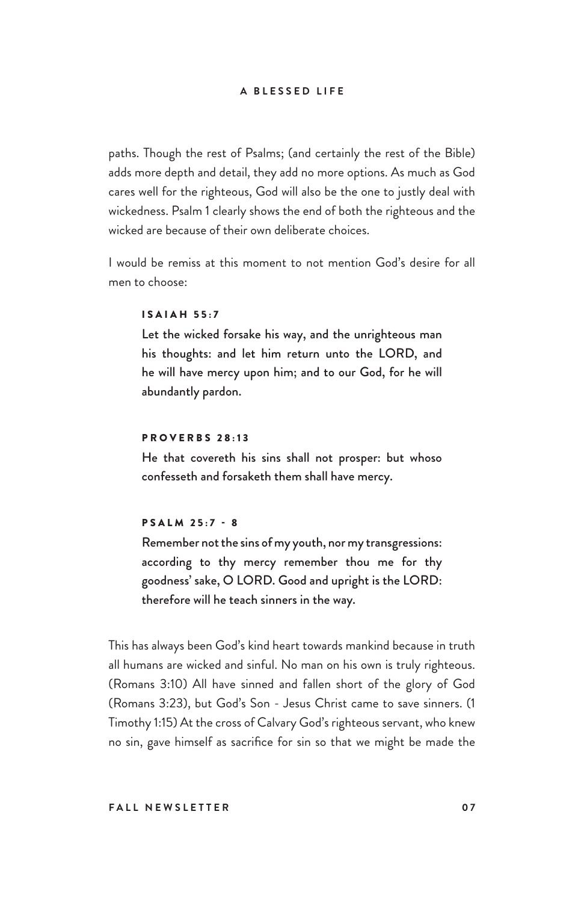paths. Though the rest of Psalms; (and certainly the rest of the Bible) adds more depth and detail, they add no more options. As much as God cares well for the righteous, God will also be the one to justly deal with wickedness. Psalm 1 clearly shows the end of both the righteous and the wicked are because of their own deliberate choices.

I would be remiss at this moment to not mention God's desire for all men to choose:

## ISAIAH 55:7

Let the wicked forsake his way, and the unrighteous man his thoughts: and let him return unto the LORD, and he will have mercy upon him; and to our God, for he will abundantly pardon.

## PROVERBS 28:13

He that covereth his sins shall not prosper: but whoso confesseth and forsaketh them shall have mercy.

### PSALM 25:7 - 8

Remember not the sins of my youth, nor my transgressions: according to thy mercy remember thou me for thy goodness' sake, O LORD. Good and upright is the LORD: therefore will he teach sinners in the way.

This has always been God's kind heart towards mankind because in truth all humans are wicked and sinful. No man on his own is truly righteous. (Romans 3:10) All have sinned and fallen short of the glory of God (Romans 3:23), but God's Son - Jesus Christ came to save sinners. (1 Timothy 1:15) At the cross of Calvary God's righteous servant, who knew no sin, gave himself as sacrifice for sin so that we might be made the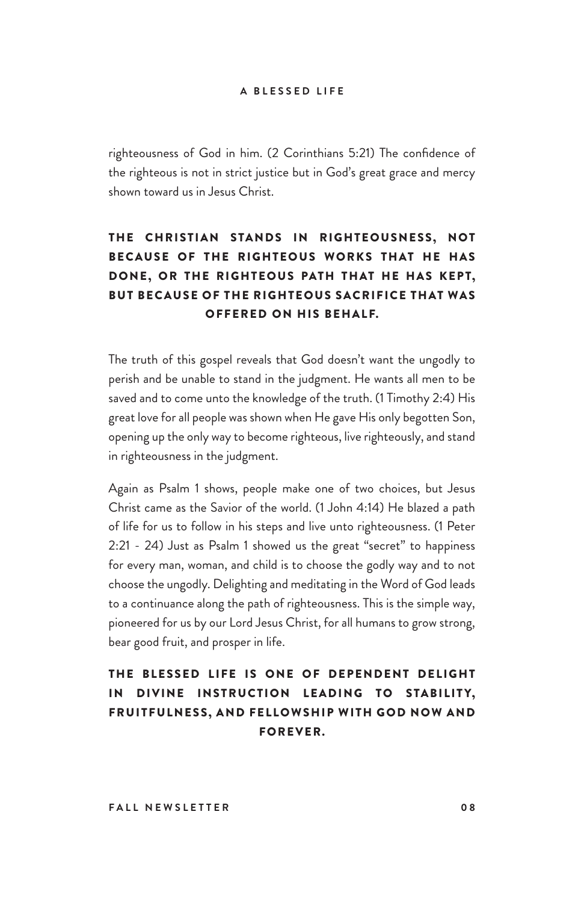righteousness of God in him. (2 Corinthians 5:21) The confidence of the righteous is not in strict justice but in God's great grace and mercy shown toward us in Jesus Christ.

## THE CHRISTIAN STANDS IN RIGHTEOUSNESS, NOT BECAUSE OF THE RIGHTEOUS WORKS THAT HE HAS DONE, OR THE RIGHTEOUS PATH THAT HE HAS KEPT, BUT BECAUSE OF THE RIGHTEOUS SACRIFICE THAT WAS OFFERED ON HIS BEHALF.

The truth of this gospel reveals that God doesn't want the ungodly to perish and be unable to stand in the judgment. He wants all men to be saved and to come unto the knowledge of the truth. (1 Timothy 2:4) His great love for all people was shown when He gave His only begotten Son, opening up the only way to become righteous, live righteously, and stand in righteousness in the judgment.

Again as Psalm 1 shows, people make one of two choices, but Jesus Christ came as the Savior of the world. (1 John 4:14) He blazed a path of life for us to follow in his steps and live unto righteousness. (1 Peter 2:21 - 24) Just as Psalm 1 showed us the great "secret" to happiness for every man, woman, and child is to choose the godly way and to not choose the ungodly. Delighting and meditating in the Word of God leads to a continuance along the path of righteousness. This is the simple way, pioneered for us by our Lord Jesus Christ, for all humans to grow strong, bear good fruit, and prosper in life.

## THE BLESSED LIFE IS ONE OF DEPENDENT DELIGHT IN DIVINE INSTRUCTION LEADING TO STABILITY, FRUITFULNESS, AND FELLOWSHIP WITH GOD NOW AND FOREVER.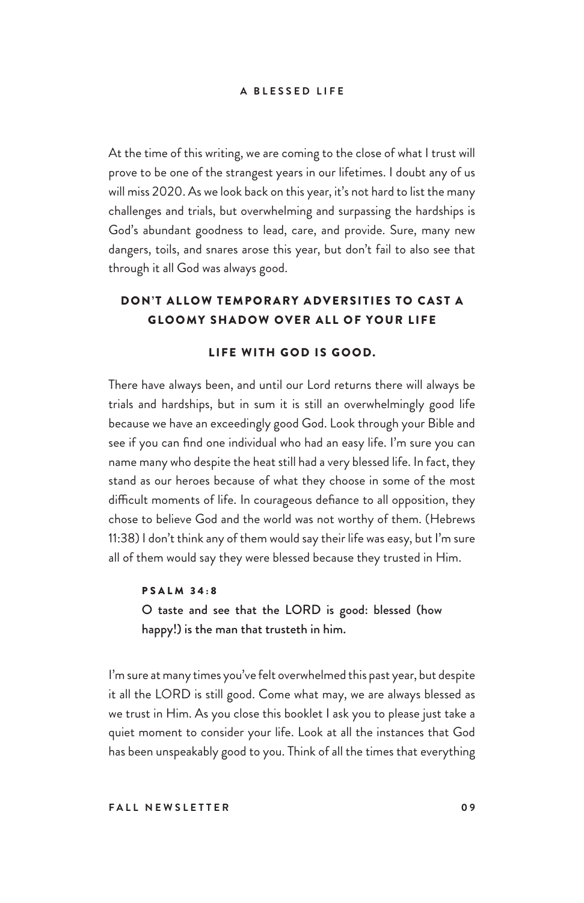At the time of this writing, we are coming to the close of what I trust will prove to be one of the strangest years in our lifetimes. I doubt any of us will miss 2020. As we look back on this year, it's not hard to list the many challenges and trials, but overwhelming and surpassing the hardships is God's abundant goodness to lead, care, and provide. Sure, many new dangers, toils, and snares arose this year, but don't fail to also see that through it all God was always good.

## DON'T ALLOW TEMPORARY ADVERSITIES TO CAST A GLOOMY SHADOW OVER ALL OF YOUR LIFE

## LIFE WITH GOD IS GOOD.

There have always been, and until our Lord returns there will always be trials and hardships, but in sum it is still an overwhelmingly good life because we have an exceedingly good God. Look through your Bible and see if you can find one individual who had an easy life. I'm sure you can name many who despite the heat still had a very blessed life. In fact, they stand as our heroes because of what they choose in some of the most difficult moments of life. In courageous defiance to all opposition, they chose to believe God and the world was not worthy of them. (Hebrews 11:38) I don't think any of them would say their life was easy, but I'm sure all of them would say they were blessed because they trusted in Him.

PSALM 34:8 O taste and see that the LORD is good: blessed (how happy!) is the man that trusteth in him.

I'm sure at many times you've felt overwhelmed this past year, but despite it all the LORD is still good. Come what may, we are always blessed as we trust in Him. As you close this booklet I ask you to please just take a quiet moment to consider your life. Look at all the instances that God has been unspeakably good to you. Think of all the times that everything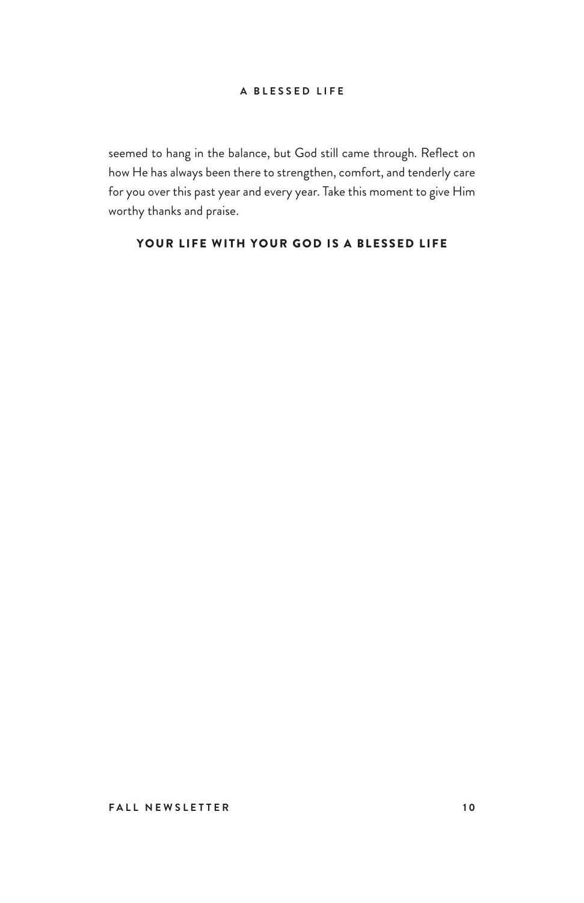seemed to hang in the balance, but God still came through. Reflect on how He has always been there to strengthen, comfort, and tenderly care for you over this past year and every year. Take this moment to give Him worthy thanks and praise.

## YOUR LIFE WITH YOUR GOD IS A BLESSED LIFE